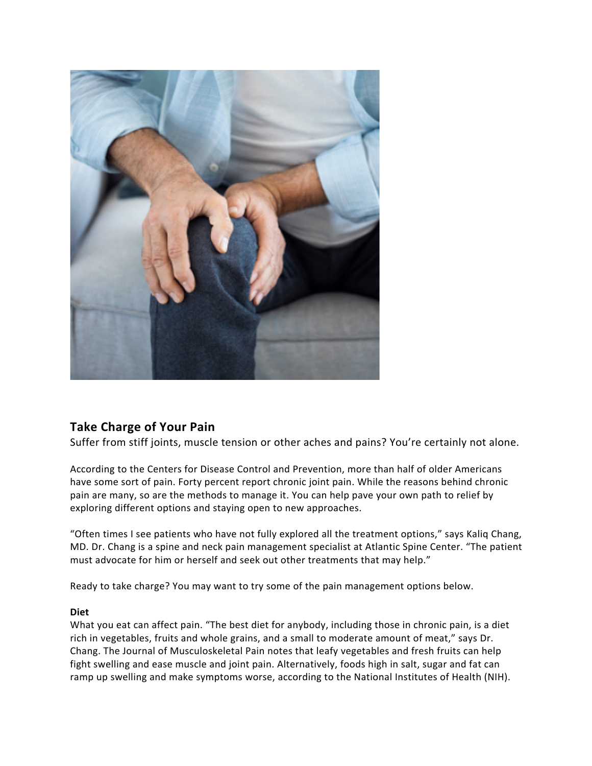

# **Take Charge of Your Pain**

Suffer from stiff joints, muscle tension or other aches and pains? You're certainly not alone.

According to the Centers for Disease Control and Prevention, more than half of older Americans have some sort of pain. Forty percent report chronic joint pain. While the reasons behind chronic pain are many, so are the methods to manage it. You can help pave your own path to relief by exploring different options and staying open to new approaches.

"Often times I see patients who have not fully explored all the treatment options," says Kaliq Chang, MD. Dr. Chang is a spine and neck pain management specialist at Atlantic Spine Center. "The patient must advocate for him or herself and seek out other treatments that may help."

Ready to take charge? You may want to try some of the pain management options below.

## **Diet**

What you eat can affect pain. "The best diet for anybody, including those in chronic pain, is a diet rich in vegetables, fruits and whole grains, and a small to moderate amount of meat," says Dr. Chang. The Journal of Musculoskeletal Pain notes that leafy vegetables and fresh fruits can help fight swelling and ease muscle and joint pain. Alternatively, foods high in salt, sugar and fat can ramp up swelling and make symptoms worse, according to the National Institutes of Health (NIH).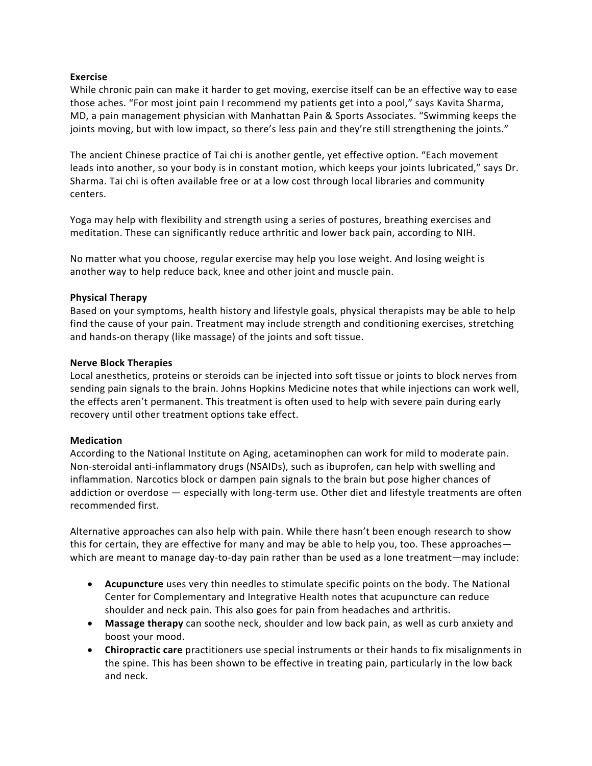## **Exercise**

While chronic pain can make it harder to get moving, exercise itself can be an effective way to ease those aches. "For most joint pain I recommend my patients get into a pool," says Kavita Sharma, MD, a pain management physician with Manhattan Pain & Sports Associates. "Swimming keeps the joints moving, but with low impact, so there's less pain and they're still strengthening the joints."

The ancient Chinese practice of Tai chi is another gentle, yet effective option. "Each movement leads into another, so your body is in constant motion, which keeps your joints lubricated," says Dr. Sharma. Tai chi is often available free or at a low cost through local libraries and community centers.

Yoga may help with flexibility and strength using a series of postures, breathing exercises and meditation. These can significantly reduce arthritic and lower back pain, according to NIH.

No matter what you choose, regular exercise may help you lose weight. And losing weight is another way to help reduce back, knee and other joint and muscle pain.

## **Physical Therapy**

Based on your symptoms, health history and lifestyle goals, physical therapists may be able to help find the cause of your pain. Treatment may include strength and conditioning exercises, stretching and hands-on therapy (like massage) of the joints and soft tissue.

## **Nerve Block Therapies**

Local anesthetics, proteins or steroids can be injected into soft tissue or joints to block nerves from sending pain signals to the brain. Johns Hopkins Medicine notes that while injections can work well, the effects aren't permanent. This treatment is often used to help with severe pain during early recovery until other treatment options take effect.

## **Medication**

According to the National Institute on Aging, acetaminophen can work for mild to moderate pain. Non-steroidal anti-inflammatory drugs (NSAIDs), such as ibuprofen, can help with swelling and inflammation. Narcotics block or dampen pain signals to the brain but pose higher chances of addiction or overdose — especially with long-term use. Other diet and lifestyle treatments are often recommended first.

Alternative approaches can also help with pain. While there hasn't been enough research to show this for certain, they are effective for many and may be able to help you, too. These approaches which are meant to manage day-to-day pain rather than be used as a lone treatment—may include:

- **Acupuncture** uses very thin needles to stimulate specific points on the body. The National Center for Complementary and Integrative Health notes that acupuncture can reduce shoulder and neck pain. This also goes for pain from headaches and arthritis.
- **Massage therapy** can soothe neck, shoulder and low back pain, as well as curb anxiety and boost your mood.
- **Chiropractic care** practitioners use special instruments or their hands to fix misalignments in the spine. This has been shown to be effective in treating pain, particularly in the low back and neck.